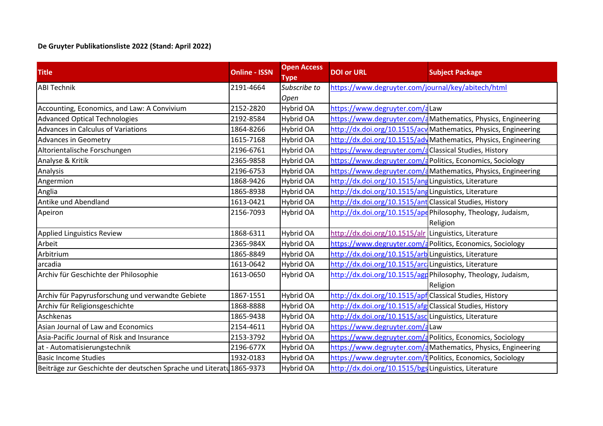## **De Gruyter Publikationsliste 2022 (Stand: April 2022)**

| <b>Title</b>                                                         | <b>Online - ISSN</b> | <b>Open Access</b><br>Type | <b>DOI or URL</b>                                        | <b>Subject Package</b>                                          |
|----------------------------------------------------------------------|----------------------|----------------------------|----------------------------------------------------------|-----------------------------------------------------------------|
| <b>ABI Technik</b>                                                   | 2191-4664            | Subscribe to               | https://www.degruyter.com/journal/key/abitech/html       |                                                                 |
|                                                                      |                      | Open                       |                                                          |                                                                 |
| Accounting, Economics, and Law: A Convivium                          | 2152-2820            | Hybrid OA                  | https://www.degruyter.com/aLaw                           |                                                                 |
| <b>Advanced Optical Technologies</b>                                 | 2192-8584            | Hybrid OA                  |                                                          | https://www.degruyter.com/aMathematics, Physics, Engineering    |
| Advances in Calculus of Variations                                   | 1864-8266            | Hybrid OA                  |                                                          | http://dx.doi.org/10.1515/acy Mathematics, Physics, Engineering |
| <b>Advances in Geometry</b>                                          | 1615-7168            | Hybrid OA                  |                                                          | http://dx.doi.org/10.1515/ady Mathematics, Physics, Engineering |
| Altorientalische Forschungen                                         | 2196-6761            | Hybrid OA                  | https://www.degruyter.com/aClassical Studies, History    |                                                                 |
| Analyse & Kritik                                                     | 2365-9858            | Hybrid OA                  |                                                          | https://www.degruyter.com/d Politics, Economics, Sociology      |
| Analysis                                                             | 2196-6753            | Hybrid OA                  |                                                          | https://www.degruyter.com/aMathematics, Physics, Engineering    |
| Angermion                                                            | 1868-9426            | <b>Hybrid OA</b>           | http://dx.doi.org/10.1515/angLinguistics, Literature     |                                                                 |
| Anglia                                                               | 1865-8938            | Hybrid OA                  | http://dx.doi.org/10.1515/angLinguistics, Literature     |                                                                 |
| Antike und Abendland                                                 | 1613-0421            | Hybrid OA                  | http://dx.doi.org/10.1515/ant Classical Studies, History |                                                                 |
| Apeiron                                                              | 2156-7093            | Hybrid OA                  |                                                          | http://dx.doi.org/10.1515/apePhilosophy, Theology, Judaism,     |
|                                                                      |                      |                            |                                                          | Religion                                                        |
| Applied Linguistics Review                                           | 1868-6311            | Hybrid OA                  | http://dx.doi.org/10.1515/alr Linguistics, Literature    |                                                                 |
| Arbeit                                                               | 2365-984X            | Hybrid OA                  |                                                          | https://www.degruyter.com/a Politics, Economics, Sociology      |
| Arbitrium                                                            | 1865-8849            | Hybrid OA                  | http://dx.doi.org/10.1515/arb Linguistics, Literature    |                                                                 |
| arcadia                                                              | 1613-0642            | Hybrid OA                  | http://dx.doi.org/10.1515/arcLinguistics, Literature     |                                                                 |
| Archiv für Geschichte der Philosophie                                | 1613-0650            | Hybrid OA                  |                                                          | http://dx.doi.org/10.1515/agg Philosophy, Theology, Judaism,    |
|                                                                      |                      |                            |                                                          | Religion                                                        |
| Archiv für Papyrusforschung und verwandte Gebiete                    | 1867-1551            | Hybrid OA                  | http://dx.doi.org/10.1515/apf Classical Studies, History |                                                                 |
| Archiv für Religionsgeschichte                                       | 1868-8888            | Hybrid OA                  | http://dx.doi.org/10.1515/afg Classical Studies, History |                                                                 |
| Aschkenas                                                            | 1865-9438            | Hybrid OA                  | http://dx.doi.org/10.1515/asclLinguistics, Literature    |                                                                 |
| Asian Journal of Law and Economics                                   | 2154-4611            | Hybrid OA                  | https://www.degruyter.com/aLaw                           |                                                                 |
| Asia-Pacific Journal of Risk and Insurance                           | 2153-3792            | Hybrid OA                  |                                                          | https://www.degruyter.com/a Politics, Economics, Sociology      |
| at - Automatisierungstechnik                                         | 2196-677X            | Hybrid OA                  |                                                          | https://www.degruyter.com/aMathematics, Physics, Engineering    |
| <b>Basic Income Studies</b>                                          | 1932-0183            | Hybrid OA                  |                                                          | https://www.degruyter.com/k Politics, Economics, Sociology      |
| Beiträge zur Geschichte der deutschen Sprache und Literatu 1865-9373 |                      | <b>Hybrid OA</b>           | http://dx.doi.org/10.1515/bgs Linguistics, Literature    |                                                                 |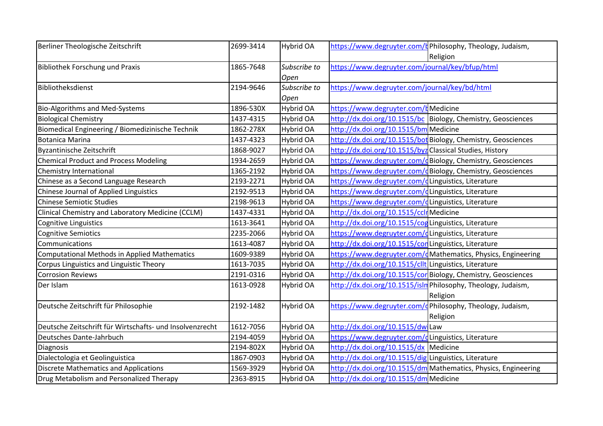| Berliner Theologische Zeitschrift                        | 2699-3414 | Hybrid OA        | https://www.degruyter.com/k Philosophy, Theology, Judaism,     |  |
|----------------------------------------------------------|-----------|------------------|----------------------------------------------------------------|--|
|                                                          |           |                  | Religion                                                       |  |
| <b>Bibliothek Forschung und Praxis</b>                   | 1865-7648 | Subscribe to     | https://www.degruyter.com/journal/key/bfup/html                |  |
|                                                          |           | Open             |                                                                |  |
| Bibliotheksdienst                                        | 2194-9646 | Subscribe to     | https://www.degruyter.com/journal/key/bd/html                  |  |
|                                                          |           | Open             |                                                                |  |
| <b>Bio-Algorithms and Med-Systems</b>                    | 1896-530X | Hybrid OA        | https://www.degruyter.com/kMedicine                            |  |
| <b>Biological Chemistry</b>                              | 1437-4315 | <b>Hybrid OA</b> | http://dx.doi.org/10.1515/bc Biology, Chemistry, Geosciences   |  |
| Biomedical Engineering / Biomedizinische Technik         | 1862-278X | Hybrid OA        | http://dx.doi.org/10.1515/bm Medicine                          |  |
| <b>Botanica Marina</b>                                   | 1437-4323 | <b>Hybrid OA</b> | http://dx.doi.org/10.1515/bot Biology, Chemistry, Geosciences  |  |
| <b>Byzantinische Zeitschrift</b>                         | 1868-9027 | Hybrid OA        | http://dx.doi.org/10.1515/byz Classical Studies, History       |  |
| <b>Chemical Product and Process Modeling</b>             | 1934-2659 | <b>Hybrid OA</b> | https://www.degruyter.com/dBiology, Chemistry, Geosciences     |  |
| Chemistry International                                  | 1365-2192 | <b>Hybrid OA</b> | https://www.degruyter.com/dBiology, Chemistry, Geosciences     |  |
| Chinese as a Second Language Research                    | 2193-2271 | Hybrid OA        | https://www.degruyter.com/dLinguistics, Literature             |  |
| Chinese Journal of Applied Linguistics                   | 2192-9513 | Hybrid OA        | https://www.degruyter.com/dLinguistics, Literature             |  |
| <b>Chinese Semiotic Studies</b>                          | 2198-9613 | <b>Hybrid OA</b> | https://www.degruyter.com/dLinguistics, Literature             |  |
| Clinical Chemistry and Laboratory Medicine (CCLM)        | 1437-4331 | <b>Hybrid OA</b> | http://dx.doi.org/10.1515/cclrMedicine                         |  |
| Cognitive Linguistics                                    | 1613-3641 | Hybrid OA        | http://dx.doi.org/10.1515/cogLinguistics, Literature           |  |
| <b>Cognitive Semiotics</b>                               | 2235-2066 | <b>Hybrid OA</b> | https://www.degruyter.com/dLinguistics, Literature             |  |
| Communications                                           | 1613-4087 | <b>Hybrid OA</b> | http://dx.doi.org/10.1515/cor Linguistics, Literature          |  |
| Computational Methods in Applied Mathematics             | 1609-9389 | Hybrid OA        | https://www.degruyter.com/dMathematics, Physics, Engineering   |  |
| Corpus Linguistics and Linguistic Theory                 | 1613-7035 | Hybrid OA        | http://dx.doi.org/10.1515/clltullinguistics, Literature        |  |
| <b>Corrosion Reviews</b>                                 | 2191-0316 | <b>Hybrid OA</b> | http://dx.doi.org/10.1515/cor Biology, Chemistry, Geosciences  |  |
| Der Islam                                                | 1613-0928 | <b>Hybrid OA</b> | http://dx.doi.org/10.1515/isln Philosophy, Theology, Judaism,  |  |
|                                                          |           |                  | Religion                                                       |  |
| Deutsche Zeitschrift für Philosophie                     | 2192-1482 | Hybrid OA        | https://www.degruyter.com/dPhilosophy, Theology, Judaism,      |  |
|                                                          |           |                  | Religion                                                       |  |
| Deutsche Zeitschrift für Wirtschafts- und Insolvenzrecht | 1612-7056 | Hybrid OA        | http://dx.doi.org/10.1515/dw Law                               |  |
| Deutsches Dante-Jahrbuch                                 | 2194-4059 | <b>Hybrid OA</b> | https://www.degruyter.com/dLinguistics, Literature             |  |
| Diagnosis                                                | 2194-802X | <b>Hybrid OA</b> | http://dx.doi.org/10.1515/dx Medicine                          |  |
| Dialectologia et Geolinguistica                          | 1867-0903 | <b>Hybrid OA</b> | http://dx.doi.org/10.1515/dig Linguistics, Literature          |  |
| <b>Discrete Mathematics and Applications</b>             | 1569-3929 | Hybrid OA        | http://dx.doi.org/10.1515/dm Mathematics, Physics, Engineering |  |
| Drug Metabolism and Personalized Therapy                 | 2363-8915 | <b>Hybrid OA</b> | http://dx.doi.org/10.1515/dm Medicine                          |  |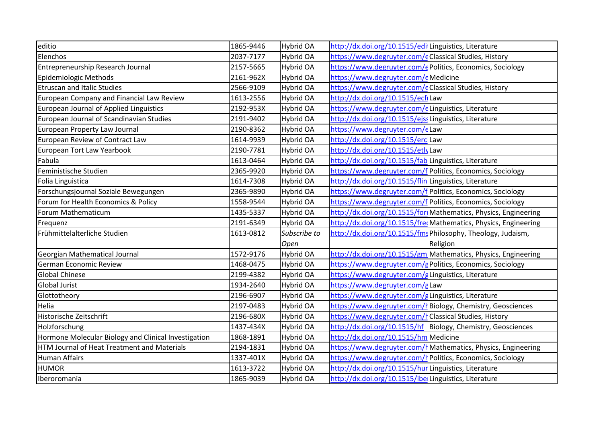| editio                                               | 1865-9446 | <b>Hybrid OA</b> | http://dx.doi.org/10.1515/edi Linguistics, Literature  |                                                                 |
|------------------------------------------------------|-----------|------------------|--------------------------------------------------------|-----------------------------------------------------------------|
| Elenchos                                             | 2037-7177 | Hybrid OA        | https://www.degruyter.com/eClassical Studies, History  |                                                                 |
| Entrepreneurship Research Journal                    | 2157-5665 | <b>Hybrid OA</b> |                                                        | https://www.degruyter.com/d Politics, Economics, Sociology      |
| Epidemiologic Methods                                | 2161-962X | Hybrid OA        | https://www.degruyter.com/eMedicine                    |                                                                 |
| <b>Etruscan and Italic Studies</b>                   | 2566-9109 | Hybrid OA        | https://www.degruyter.com/eClassical Studies, History  |                                                                 |
| European Company and Financial Law Review            | 1613-2556 | Hybrid OA        | http://dx.doi.org/10.1515/ecfLaw                       |                                                                 |
| <b>European Journal of Applied Linguistics</b>       | 2192-953X | <b>Hybrid OA</b> | https://www.degruyter.com/eLinguistics, Literature     |                                                                 |
| European Journal of Scandinavian Studies             | 2191-9402 | Hybrid OA        | http://dx.doi.org/10.1515/ejssLinguistics, Literature  |                                                                 |
| European Property Law Journal                        | 2190-8362 | <b>Hybrid OA</b> | https://www.degruyter.com/eLaw                         |                                                                 |
| European Review of Contract Law                      | 1614-9939 | Hybrid OA        | http://dx.doi.org/10.1515/erc Law                      |                                                                 |
| European Tort Law Yearbook                           | 2190-7781 | Hybrid OA        | http://dx.doi.org/10.1515/etlyLaw                      |                                                                 |
| Fabula                                               | 1613-0464 | Hybrid OA        | http://dx.doi.org/10.1515/fab Linguistics, Literature  |                                                                 |
| Feministische Studien                                | 2365-9920 | Hybrid OA        |                                                        | https://www.degruyter.com/f Politics, Economics, Sociology      |
| Folia Linguistica                                    | 1614-7308 | Hybrid OA        | http://dx.doi.org/10.1515/flin Linguistics, Literature |                                                                 |
| Forschungsjournal Soziale Bewegungen                 | 2365-9890 | <b>Hybrid OA</b> |                                                        | https://www.degruyter.com/f Politics, Economics, Sociology      |
| Forum for Health Economics & Policy                  | 1558-9544 | <b>Hybrid OA</b> |                                                        | https://www.degruyter.com/f Politics, Economics, Sociology      |
| Forum Mathematicum                                   | 1435-5337 | Hybrid OA        |                                                        | http://dx.doi.org/10.1515/for Mathematics, Physics, Engineering |
| Frequenz                                             | 2191-6349 | <b>Hybrid OA</b> |                                                        | http://dx.doi.org/10.1515/freeMathematics, Physics, Engineering |
| Frühmittelalterliche Studien                         | 1613-0812 | Subscribe to     |                                                        | http://dx.doi.org/10.1515/fms Philosophy, Theology, Judaism,    |
|                                                      |           | Open             |                                                        | Religion                                                        |
| Georgian Mathematical Journal                        | 1572-9176 | Hybrid OA        |                                                        | http://dx.doi.org/10.1515/gm Mathematics, Physics, Engineering  |
| German Economic Review                               | 1468-0475 | Hybrid OA        |                                                        | https://www.degruyter.com/g Politics, Economics, Sociology      |
| <b>Global Chinese</b>                                | 2199-4382 | Hybrid OA        | https://www.degruyter.com/gLinguistics, Literature     |                                                                 |
| <b>Global Jurist</b>                                 | 1934-2640 | <b>Hybrid OA</b> | https://www.degruyter.com/gLaw                         |                                                                 |
| Glottotheory                                         | 2196-6907 | Hybrid OA        | https://www.degruyter.com/gLinguistics, Literature     |                                                                 |
| Helia                                                | 2197-0483 | <b>Hybrid OA</b> |                                                        | https://www.degruyter.com/h Biology, Chemistry, Geosciences     |
| Historische Zeitschrift                              | 2196-680X | <b>Hybrid OA</b> | https://www.degruyter.com/l Classical Studies, History |                                                                 |
| Holzforschung                                        | 1437-434X | <b>Hybrid OA</b> |                                                        | http://dx.doi.org/10.1515/hf Biology, Chemistry, Geosciences    |
| Hormone Molecular Biology and Clinical Investigation | 1868-1891 | Hybrid OA        | http://dx.doi.org/10.1515/hm Medicine                  |                                                                 |
| HTM Journal of Heat Treatment and Materials          | 2194-1831 | Hybrid OA        |                                                        | https://www.degruyter.com/hMathematics, Physics, Engineering    |
| <b>Human Affairs</b>                                 | 1337-401X | <b>Hybrid OA</b> |                                                        | https://www.degruyter.com/h Politics, Economics, Sociology      |
| <b>HUMOR</b>                                         | 1613-3722 | <b>Hybrid OA</b> | http://dx.doi.org/10.1515/hurlLinguistics, Literature  |                                                                 |
| Iberoromania                                         | 1865-9039 | Hybrid OA        | http://dx.doi.org/10.1515/ibe Linguistics, Literature  |                                                                 |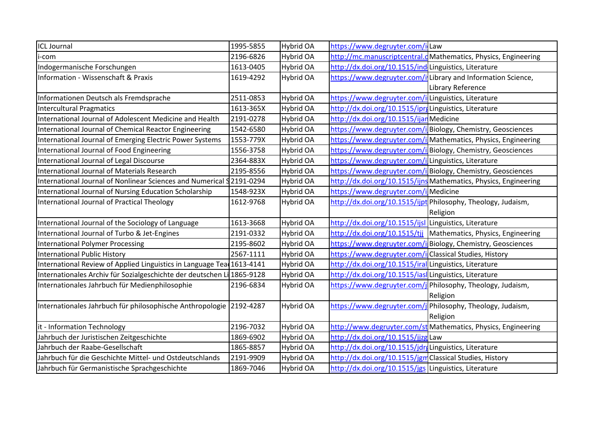| <b>ICL Journal</b>                                                     | 1995-5855 | <b>Hybrid OA</b> | https://www.degruyter.com/il                             |                                                                  |
|------------------------------------------------------------------------|-----------|------------------|----------------------------------------------------------|------------------------------------------------------------------|
| i-com                                                                  | 2196-6826 | <b>Hybrid OA</b> |                                                          | http://mc.manuscriptcentral.dMathematics, Physics, Engineering   |
| Indogermanische Forschungen                                            | 1613-0405 | Hybrid OA        | http://dx.doi.org/10.1515/ind Linguistics, Literature    |                                                                  |
| Information - Wissenschaft & Praxis                                    | 1619-4292 | Hybrid OA        |                                                          | https://www.degruyter.com/ilLibrary and Information Science,     |
|                                                                        |           |                  |                                                          | Library Reference                                                |
| Informationen Deutsch als Fremdsprache                                 | 2511-0853 | Hybrid OA        | https://www.degruyter.com/ilLinguistics, Literature      |                                                                  |
| <b>Intercultural Pragmatics</b>                                        | 1613-365X | Hybrid OA        | http://dx.doi.org/10.1515/ipreLinguistics, Literature    |                                                                  |
| International Journal of Adolescent Medicine and Health                | 2191-0278 | <b>Hybrid OA</b> | http://dx.doi.org/10.1515/ijar Medicine                  |                                                                  |
| International Journal of Chemical Reactor Engineering                  | 1542-6580 | Hybrid OA        |                                                          | https://www.degruyter.com/i Biology, Chemistry, Geosciences      |
| International Journal of Emerging Electric Power Systems               | 1553-779X | Hybrid OA        |                                                          | https://www.degruyter.com/i Mathematics, Physics, Engineering    |
| International Journal of Food Engineering                              | 1556-3758 | Hybrid OA        |                                                          | https://www.degruyter.com/i Biology, Chemistry, Geosciences      |
| International Journal of Legal Discourse                               | 2364-883X | <b>Hybrid OA</b> | https://www.degruyter.com/ilLinguistics, Literature      |                                                                  |
| International Journal of Materials Research                            | 2195-8556 | <b>Hybrid OA</b> |                                                          | https://www.degruyter.com/ilBiology, Chemistry, Geosciences      |
| International Journal of Nonlinear Sciences and Numerical 92191-0294   |           | Hybrid OA        |                                                          | http://dx.doi.org/10.1515/ijns Mathematics, Physics, Engineering |
| International Journal of Nursing Education Scholarship                 | 1548-923X | Hybrid OA        | https://www.degruyter.com/i Medicine                     |                                                                  |
| International Journal of Practical Theology                            | 1612-9768 | Hybrid OA        |                                                          | http://dx.doi.org/10.1515/ijpt Philosophy, Theology, Judaism,    |
|                                                                        |           |                  |                                                          | <b>Religion</b>                                                  |
| International Journal of the Sociology of Language                     | 1613-3668 | Hybrid OA        | http://dx.doi.org/10.1515/ijsl Linguistics, Literature   |                                                                  |
| International Journal of Turbo & Jet-Engines                           | 2191-0332 | <b>Hybrid OA</b> |                                                          | http://dx.doi.org/10.1515/tjj Mathematics, Physics, Engineering  |
| International Polymer Processing                                       | 2195-8602 | Hybrid OA        |                                                          | https://www.degruyter.com/i Biology, Chemistry, Geosciences      |
| <b>International Public History</b>                                    | 2567-1111 | Hybrid OA        | https://www.degruyter.com/icClassical Studies, History   |                                                                  |
| International Review of Applied Linguistics in Language Tea 1613-4141  |           | Hybrid OA        | http://dx.doi.org/10.1515/iral Linguistics, Literature   |                                                                  |
| Internationales Archiv für Sozialgeschichte der deutschen Li 1865-9128 |           | Hybrid OA        | http://dx.doi.org/10.1515/iaslLinguistics, Literature    |                                                                  |
| Internationales Jahrbuch für Medienphilosophie                         | 2196-6834 | Hybrid OA        |                                                          | https://www.degruyter.com/j Philosophy, Theology, Judaism,       |
|                                                                        |           |                  |                                                          | Religion                                                         |
| Internationales Jahrbuch für philosophische Anthropologie   2192-4287  |           | Hybrid OA        |                                                          | https://www.degruyter.com/j Philosophy, Theology, Judaism,       |
|                                                                        |           |                  |                                                          | Religion                                                         |
| it - Information Technology                                            | 2196-7032 | Hybrid OA        |                                                          | http://www.degruyter.com/st Mathematics, Physics, Engineering    |
| Jahrbuch der Juristischen Zeitgeschichte                               | 1869-6902 | <b>Hybrid OA</b> | http://dx.doi.org/10.1515/jjzg Law                       |                                                                  |
| Jahrbuch der Raabe-Gesellschaft                                        | 1865-8857 | Hybrid OA        | http://dx.doi.org/10.1515/jdrgLinguistics, Literature    |                                                                  |
| Jahrbuch für die Geschichte Mittel- und Ostdeutschlands                | 2191-9909 | <b>Hybrid OA</b> | http://dx.doi.org/10.1515/jgm Classical Studies, History |                                                                  |
| Jahrbuch für Germanistische Sprachgeschichte                           | 1869-7046 | <b>Hybrid OA</b> | http://dx.doi.org/10.1515/jgs Linguistics, Literature    |                                                                  |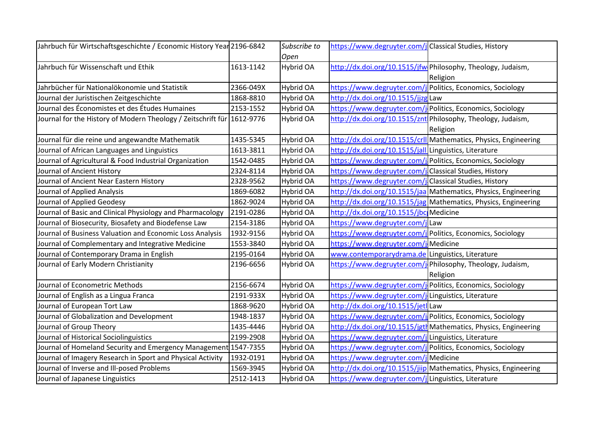| Jahrbuch für Wirtschaftsgeschichte / Economic History Year 2196-6842   |           | Subscribe to     | https://www.degruyter.com/j Classical Studies, History     |                                                                  |
|------------------------------------------------------------------------|-----------|------------------|------------------------------------------------------------|------------------------------------------------------------------|
|                                                                        |           | Open             |                                                            |                                                                  |
| Jahrbuch für Wissenschaft und Ethik                                    | 1613-1142 | Hybrid OA        |                                                            | http://dx.doi.org/10.1515/jfw Philosophy, Theology, Judaism,     |
|                                                                        |           |                  |                                                            | Religion                                                         |
| Jahrbücher für Nationalökonomie und Statistik                          | 2366-049X | <b>Hybrid OA</b> | https://www.degruyter.com/j Politics, Economics, Sociology |                                                                  |
| Journal der Juristischen Zeitgeschichte                                | 1868-8810 | <b>Hybrid OA</b> | http://dx.doi.org/10.1515/jjzgLaw                          |                                                                  |
| Journal des Économistes et des Études Humaines                         | 2153-1552 | Hybrid OA        |                                                            | https://www.degruyter.com/j Politics, Economics, Sociology       |
| Journal for the History of Modern Theology / Zeitschrift für 1612-9776 |           | Hybrid OA        |                                                            | http://dx.doi.org/10.1515/znt Philosophy, Theology, Judaism,     |
|                                                                        |           |                  |                                                            | Religion                                                         |
| Journal für die reine und angewandte Mathematik                        | 1435-5345 | Hybrid OA        |                                                            | http://dx.doi.org/10.1515/crll Mathematics, Physics, Engineering |
| Journal of African Languages and Linguistics                           | 1613-3811 | Hybrid OA        | http://dx.doi.org/10.1515/jall Linguistics, Literature     |                                                                  |
| Journal of Agricultural & Food Industrial Organization                 | 1542-0485 | <b>Hybrid OA</b> |                                                            | https://www.degruyter.com/j Politics, Economics, Sociology       |
| Journal of Ancient History                                             | 2324-8114 | <b>Hybrid OA</b> | https://www.degruyter.com/j Classical Studies, History     |                                                                  |
| Journal of Ancient Near Eastern History                                | 2328-9562 | <b>Hybrid OA</b> | https://www.degruyter.com/j Classical Studies, History     |                                                                  |
| Journal of Applied Analysis                                            | 1869-6082 | Hybrid OA        |                                                            | http://dx.doi.org/10.1515/jaa Mathematics, Physics, Engineering  |
| Journal of Applied Geodesy                                             | 1862-9024 | <b>Hybrid OA</b> |                                                            | http://dx.doi.org/10.1515/jag Mathematics, Physics, Engineering  |
| Journal of Basic and Clinical Physiology and Pharmacology              | 2191-0286 | <b>Hybrid OA</b> | http://dx.doi.org/10.1515/jbc Medicine                     |                                                                  |
| Journal of Biosecurity, Biosafety and Biodefense Law                   | 2154-3186 | <b>Hybrid OA</b> | https://www.degruyter.com/j Law                            |                                                                  |
| Journal of Business Valuation and Economic Loss Analysis               | 1932-9156 | <b>Hybrid OA</b> |                                                            | https://www.degruyter.com/j Politics, Economics, Sociology       |
| Journal of Complementary and Integrative Medicine                      | 1553-3840 | Hybrid OA        | https://www.degruyter.com/j Medicine                       |                                                                  |
| Journal of Contemporary Drama in English                               | 2195-0164 | <b>Hybrid OA</b> | www.contemporarydrama.de Linguistics, Literature           |                                                                  |
| Journal of Early Modern Christianity                                   | 2196-6656 | Hybrid OA        |                                                            | https://www.degruyter.com/j Philosophy, Theology, Judaism,       |
|                                                                        |           |                  |                                                            | Religion                                                         |
| Journal of Econometric Methods                                         | 2156-6674 | <b>Hybrid OA</b> |                                                            | https://www.degruyter.com/j Politics, Economics, Sociology       |
| Journal of English as a Lingua Franca                                  | 2191-933X | <b>Hybrid OA</b> | https://www.degruyter.com/jlLinguistics, Literature        |                                                                  |
| Journal of European Tort Law                                           | 1868-9620 | <b>Hybrid OA</b> | http://dx.doi.org/10.1515/jetlLaw                          |                                                                  |
| Journal of Globalization and Development                               | 1948-1837 | <b>Hybrid OA</b> |                                                            | https://www.degruyter.com/j Politics, Economics, Sociology       |
| Journal of Group Theory                                                | 1435-4446 | <b>Hybrid OA</b> |                                                            | http://dx.doi.org/10.1515/jgth Mathematics, Physics, Engineering |
| Journal of Historical Sociolinguistics                                 | 2199-2908 | <b>Hybrid OA</b> | https://www.degruyter.com/j Linguistics, Literature        |                                                                  |
| Journal of Homeland Security and Emergency Management 1547-7355        |           | <b>Hybrid OA</b> | https://www.degruyter.com/j Politics, Economics, Sociology |                                                                  |
| Journal of Imagery Research in Sport and Physical Activity             | 1932-0191 | Hybrid OA        | https://www.degruyter.com/j Medicine                       |                                                                  |
| Journal of Inverse and Ill-posed Problems                              | 1569-3945 | <b>Hybrid OA</b> |                                                            | http://dx.doi.org/10.1515/jiip Mathematics, Physics, Engineering |
| Journal of Japanese Linguistics                                        | 2512-1413 | <b>Hybrid OA</b> | https://www.degruyter.com/jLinguistics, Literature         |                                                                  |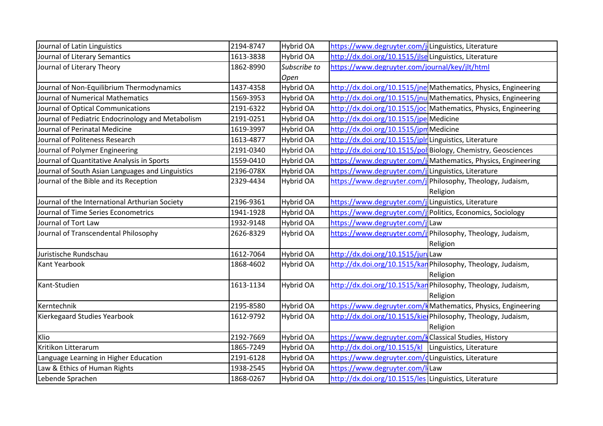| Journal of Latin Linguistics                      | 2194-8747 | <b>Hybrid OA</b> | https://www.degruyter.com/jLinguistics, Literature     |                                                                 |
|---------------------------------------------------|-----------|------------------|--------------------------------------------------------|-----------------------------------------------------------------|
| Journal of Literary Semantics                     | 1613-3838 | <b>Hybrid OA</b> | http://dx.doi.org/10.1515/jlseLinguistics, Literature  |                                                                 |
| Journal of Literary Theory                        | 1862-8990 | Subscribe to     | https://www.degruyter.com/journal/key/jlt/html         |                                                                 |
|                                                   |           | Open             |                                                        |                                                                 |
| Journal of Non-Equilibrium Thermodynamics         | 1437-4358 | Hybrid OA        |                                                        | http://dx.doi.org/10.1515/jne Mathematics, Physics, Engineering |
| Journal of Numerical Mathematics                  | 1569-3953 | Hybrid OA        |                                                        | http://dx.doi.org/10.1515/jnu Mathematics, Physics, Engineering |
| Journal of Optical Communications                 | 2191-6322 | <b>Hybrid OA</b> |                                                        | http://dx.doi.org/10.1515/joc Mathematics, Physics, Engineering |
| Journal of Pediatric Endocrinology and Metabolism | 2191-0251 | <b>Hybrid OA</b> | http://dx.doi.org/10.1515/jpe Medicine                 |                                                                 |
| Journal of Perinatal Medicine                     | 1619-3997 | Hybrid OA        | http://dx.doi.org/10.1515/jpmMedicine                  |                                                                 |
| Journal of Politeness Research                    | 1613-4877 | Hybrid OA        | http://dx.doi.org/10.1515/jplr Linguistics, Literature |                                                                 |
| Journal of Polymer Engineering                    | 2191-0340 | Hybrid OA        |                                                        | http://dx.doi.org/10.1515/pol Biology, Chemistry, Geosciences   |
| Journal of Quantitative Analysis in Sports        | 1559-0410 | <b>Hybrid OA</b> |                                                        | https://www.degruyter.com/j Mathematics, Physics, Engineering   |
| Journal of South Asian Languages and Linguistics  | 2196-078X | Hybrid OA        | https://www.degruyter.com/juLinguistics, Literature    |                                                                 |
| Journal of the Bible and its Reception            | 2329-4434 | <b>Hybrid OA</b> |                                                        | https://www.degruyter.com/j Philosophy, Theology, Judaism,      |
|                                                   |           |                  |                                                        | Religion                                                        |
| Journal of the International Arthurian Society    | 2196-9361 | <b>Hybrid OA</b> | https://www.degruyter.com/julinguistics, Literature    |                                                                 |
| Journal of Time Series Econometrics               | 1941-1928 | Hybrid OA        |                                                        | https://www.degruyter.com/j Politics, Economics, Sociology      |
| Journal of Tort Law                               | 1932-9148 | Hybrid OA        | https://www.degruyter.com/jlLaw                        |                                                                 |
| Journal of Transcendental Philosophy              | 2626-8329 | <b>Hybrid OA</b> |                                                        | https://www.degruyter.com/j Philosophy, Theology, Judaism,      |
|                                                   |           |                  |                                                        | Religion                                                        |
| Juristische Rundschau                             | 1612-7064 | Hybrid OA        | http://dx.doi.org/10.1515/juriLaw                      |                                                                 |
| Kant Yearbook                                     | 1868-4602 | Hybrid OA        |                                                        | http://dx.doi.org/10.1515/kar Philosophy, Theology, Judaism,    |
|                                                   |           |                  |                                                        | Religion                                                        |
| Kant-Studien                                      | 1613-1134 | <b>Hybrid OA</b> |                                                        | http://dx.doi.org/10.1515/kar Philosophy, Theology, Judaism,    |
|                                                   |           |                  |                                                        | Religion                                                        |
| Kerntechnik                                       | 2195-8580 | Hybrid OA        |                                                        | https://www.degruyter.com/k Mathematics, Physics, Engineering   |
| Kierkegaard Studies Yearbook                      | 1612-9792 | Hybrid OA        |                                                        | http://dx.doi.org/10.1515/kielPhilosophy, Theology, Judaism,    |
|                                                   |           |                  |                                                        | Religion                                                        |
| Klio                                              | 2192-7669 | Hybrid OA        | https://www.degruyter.com/kClassical Studies, History  |                                                                 |
| Kritikon Litterarum                               | 1865-7249 | <b>Hybrid OA</b> | http://dx.doi.org/10.1515/kl Linguistics, Literature   |                                                                 |
| Language Learning in Higher Education             | 2191-6128 | <b>Hybrid OA</b> | https://www.degruyter.com/dLinguistics, Literature     |                                                                 |
| Law & Ethics of Human Rights                      | 1938-2545 | <b>Hybrid OA</b> | https://www.degruyter.com/I Law                        |                                                                 |
| Lebende Sprachen                                  | 1868-0267 | Hybrid OA        | http://dx.doi.org/10.1515/les Linguistics, Literature  |                                                                 |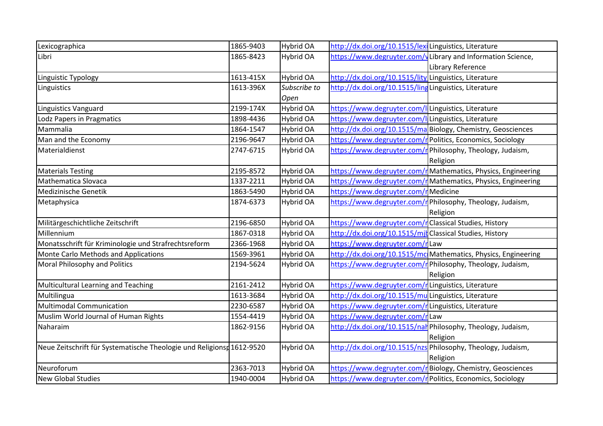| Lexicographica                                                       | 1865-9403 | Hybrid OA    | http://dx.doi.org/10.1515/lexiLinguistics, Literature      |                                                                |
|----------------------------------------------------------------------|-----------|--------------|------------------------------------------------------------|----------------------------------------------------------------|
| Libri                                                                | 1865-8423 | Hybrid OA    |                                                            | https://www.degruyter.com/vLibrary and Information Science,    |
|                                                                      |           |              |                                                            | Library Reference                                              |
| Linguistic Typology                                                  | 1613-415X | Hybrid OA    | http://dx.doi.org/10.1515/lity Linguistics, Literature     |                                                                |
| Linguistics                                                          | 1613-396X | Subscribe to | http://dx.doi.org/10.1515/lingLinguistics, Literature      |                                                                |
|                                                                      |           | Open         |                                                            |                                                                |
| Linguistics Vanguard                                                 | 2199-174X | Hybrid OA    | https://www.degruyter.com/I Linguistics, Literature        |                                                                |
| Lodz Papers in Pragmatics                                            | 1898-4436 | Hybrid OA    | https://www.degruyter.com/ILinguistics, Literature         |                                                                |
| Mammalia                                                             | 1864-1547 | Hybrid OA    |                                                            | http://dx.doi.org/10.1515/ma Biology, Chemistry, Geosciences   |
| Man and the Economy                                                  | 2196-9647 | Hybrid OA    |                                                            | https://www.degruyter.com/r Politics, Economics, Sociology     |
| Materialdienst                                                       | 2747-6715 | Hybrid OA    |                                                            | https://www.degruyter.com/r Philosophy, Theology, Judaism,     |
|                                                                      |           |              |                                                            | Religion                                                       |
| <b>Materials Testing</b>                                             | 2195-8572 | Hybrid OA    |                                                            | https://www.degruyter.com/r Mathematics, Physics, Engineering  |
| Mathematica Slovaca                                                  | 1337-2211 | Hybrid OA    |                                                            | https://www.degruyter.com/rMathematics, Physics, Engineering   |
| Medizinische Genetik                                                 | 1863-5490 | Hybrid OA    | https://www.degruyter.com/rMedicine                        |                                                                |
| Metaphysica                                                          | 1874-6373 | Hybrid OA    |                                                            | https://www.degruyter.com/r Philosophy, Theology, Judaism,     |
|                                                                      |           |              |                                                            | Religion                                                       |
| Militärgeschichtliche Zeitschrift                                    | 2196-6850 | Hybrid OA    | https://www.degruyter.com/rClassical Studies, History      |                                                                |
| Millennium                                                           | 1867-0318 | Hybrid OA    | http://dx.doi.org/10.1515/mjl Classical Studies, History   |                                                                |
| Monatsschrift für Kriminologie und Strafrechtsreform                 | 2366-1968 | Hybrid OA    | https://www.degruyter.com/rLaw                             |                                                                |
| Monte Carlo Methods and Applications                                 | 1569-3961 | Hybrid OA    |                                                            | http://dx.doi.org/10.1515/mc Mathematics, Physics, Engineering |
| Moral Philosophy and Politics                                        | 2194-5624 | Hybrid OA    |                                                            | https://www.degruyter.com/r Philosophy, Theology, Judaism,     |
|                                                                      |           |              |                                                            | Religion                                                       |
| Multicultural Learning and Teaching                                  | 2161-2412 | Hybrid OA    | https://www.degruyter.com/r Linguistics, Literature        |                                                                |
| Multilingua                                                          | 1613-3684 | Hybrid OA    | http://dx.doi.org/10.1515/mu Linguistics, Literature       |                                                                |
| <b>Multimodal Communication</b>                                      | 2230-6587 | Hybrid OA    | https://www.degruyter.com/rLinguistics, Literature         |                                                                |
| Muslim World Journal of Human Rights                                 | 1554-4419 | Hybrid OA    | https://www.degruyter.com/rLaw                             |                                                                |
| Naharaim                                                             | 1862-9156 | Hybrid OA    |                                                            | http://dx.doi.org/10.1515/nal Philosophy, Theology, Judaism,   |
|                                                                      |           |              |                                                            | Religion                                                       |
| Neue Zeitschrift für Systematische Theologie und Religions 1612-9520 |           | Hybrid OA    |                                                            | http://dx.doi.org/10.1515/nzs Philosophy, Theology, Judaism,   |
|                                                                      |           |              |                                                            | Religion                                                       |
| Neuroforum                                                           | 2363-7013 | Hybrid OA    |                                                            | https://www.degruyter.com/rBiology, Chemistry, Geosciences     |
| <b>New Global Studies</b>                                            | 1940-0004 | Hybrid OA    | https://www.degruyter.com/r Politics, Economics, Sociology |                                                                |
|                                                                      |           |              |                                                            |                                                                |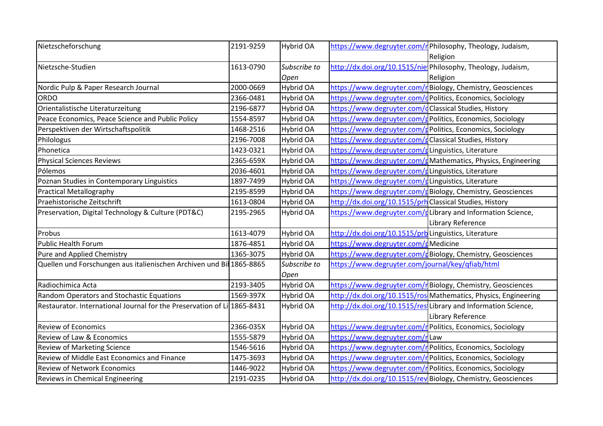| Nietzscheforschung                                                      | 2191-9259 | <b>Hybrid OA</b> |                                                          | https://www.degruyter.com/r Philosophy, Theology, Judaism,        |
|-------------------------------------------------------------------------|-----------|------------------|----------------------------------------------------------|-------------------------------------------------------------------|
|                                                                         |           |                  |                                                          | Religion                                                          |
| Nietzsche-Studien                                                       | 1613-0790 | Subscribe to     |                                                          | http://dx.doi.org/10.1515/nielPhilosophy, Theology, Judaism,      |
|                                                                         |           | Open             |                                                          | Religion                                                          |
| Nordic Pulp & Paper Research Journal                                    | 2000-0669 | <b>Hybrid OA</b> |                                                          | https://www.degruyter.com/r Biology, Chemistry, Geosciences       |
| ORDO                                                                    | 2366-0481 | <b>Hybrid OA</b> |                                                          | https://www.degruyter.com/dPolitics, Economics, Sociology         |
| Orientalistische Literaturzeitung                                       | 2196-6877 | <b>Hybrid OA</b> | https://www.degruyter.com/dClassical Studies, History    |                                                                   |
| Peace Economics, Peace Science and Public Policy                        | 1554-8597 | Hybrid OA        |                                                          | https://www.degruyter.com/g Politics, Economics, Sociology        |
| Perspektiven der Wirtschaftspolitik                                     | 1468-2516 | <b>Hybrid OA</b> |                                                          | https://www.degruyter.com/g Politics, Economics, Sociology        |
| Philologus                                                              | 2196-7008 | Hybrid OA        | https://www.degruyter.com/gClassical Studies, History    |                                                                   |
| Phonetica                                                               | 1423-0321 | <b>Hybrid OA</b> | https://www.degruyter.com/gLinguistics, Literature       |                                                                   |
| <b>Physical Sciences Reviews</b>                                        | 2365-659X | Hybrid OA        |                                                          | https://www.degruyter.com/gMathematics, Physics, Engineering      |
| Pólemos                                                                 | 2036-4601 | Hybrid OA        | https://www.degruyter.com/gLinguistics, Literature       |                                                                   |
| Poznan Studies in Contemporary Linguistics                              | 1897-7499 | Hybrid OA        | https://www.degruyter.com/gLinguistics, Literature       |                                                                   |
| <b>Practical Metallography</b>                                          | 2195-8599 | Hybrid OA        |                                                          | https://www.degruyter.com/gBiology, Chemistry, Geosciences        |
| Praehistorische Zeitschrift                                             | 1613-0804 | <b>Hybrid OA</b> | http://dx.doi.org/10.1515/prh Classical Studies, History |                                                                   |
| Preservation, Digital Technology & Culture (PDT&C)                      | 2195-2965 | <b>Hybrid OA</b> |                                                          | https://www.degruyter.com/gLibrary and Information Science,       |
|                                                                         |           |                  |                                                          | Library Reference                                                 |
| Probus                                                                  | 1613-4079 | <b>Hybrid OA</b> | http://dx.doi.org/10.1515/prb Linguistics, Literature    |                                                                   |
| <b>Public Health Forum</b>                                              | 1876-4851 | <b>Hybrid OA</b> | https://www.degruyter.com/pMedicine                      |                                                                   |
| Pure and Applied Chemistry                                              | 1365-3075 | Hybrid OA        |                                                          | https://www.degruyter.com/gBiology, Chemistry, Geosciences        |
| Quellen und Forschungen aus italienischen Archiven und Bil 1865-8865    |           | Subscribe to     | https://www.degruyter.com/journal/key/qfiab/html         |                                                                   |
|                                                                         |           | Open             |                                                          |                                                                   |
| Radiochimica Acta                                                       | 2193-3405 | Hybrid OA        |                                                          | https://www.degruyter.com/r Biology, Chemistry, Geosciences       |
| Random Operators and Stochastic Equations                               | 1569-397X | <b>Hybrid OA</b> |                                                          | http://dx.doi.org/10.1515/ros Mathematics, Physics, Engineering   |
| Restaurator. International Journal for the Preservation of Li 1865-8431 |           | Hybrid OA        |                                                          | http://dx.doi.org/10.1515/resiLibrary and Information Science,    |
|                                                                         |           |                  |                                                          | Library Reference                                                 |
| <b>Review of Economics</b>                                              | 2366-035X | Hybrid OA        |                                                          | https://www.degruyter.com/r Politics, Economics, Sociology        |
| Review of Law & Economics                                               | 1555-5879 | <b>Hybrid OA</b> | https://www.degruyter.com/r Law                          |                                                                   |
| <b>Review of Marketing Science</b>                                      | 1546-5616 | Hybrid OA        |                                                          | https://www.degruyter.com/r Politics, Economics, Sociology        |
| Review of Middle East Economics and Finance                             | 1475-3693 | <b>Hybrid OA</b> |                                                          | https://www.degruyter.com/r Politics, Economics, Sociology        |
| <b>Review of Network Economics</b>                                      | 1446-9022 | <b>Hybrid OA</b> |                                                          | https://www.degruyter.com/r <b>Politics, Economics, Sociology</b> |
| Reviews in Chemical Engineering                                         | 2191-0235 | <b>Hybrid OA</b> |                                                          | http://dx.doi.org/10.1515/rev Biology, Chemistry, Geosciences     |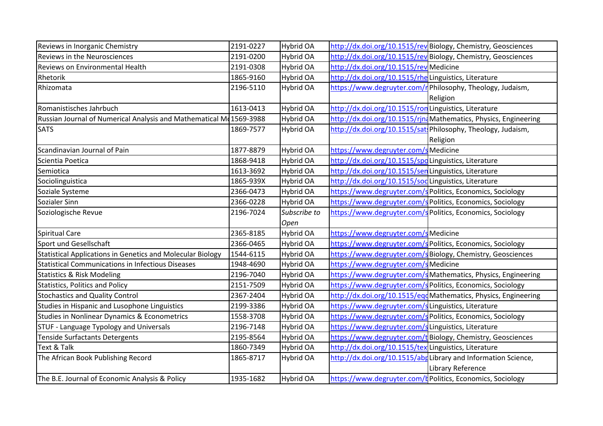| Reviews in Inorganic Chemistry                                      | 2191-0227 | Hybrid OA    |                                                            | http://dx.doi.org/10.1515/rev Biology, Chemistry, Geosciences   |
|---------------------------------------------------------------------|-----------|--------------|------------------------------------------------------------|-----------------------------------------------------------------|
| Reviews in the Neurosciences                                        | 2191-0200 | Hybrid OA    |                                                            | http://dx.doi.org/10.1515/rev Biology, Chemistry, Geosciences   |
| Reviews on Environmental Health                                     | 2191-0308 | Hybrid OA    | http://dx.doi.org/10.1515/rev Medicine                     |                                                                 |
| Rhetorik                                                            | 1865-9160 | Hybrid OA    | http://dx.doi.org/10.1515/rhe Linguistics, Literature      |                                                                 |
| Rhizomata                                                           | 2196-5110 | Hybrid OA    |                                                            | https://www.degruyter.com/r Philosophy, Theology, Judaism,      |
|                                                                     |           |              |                                                            | Religion                                                        |
| Romanistisches Jahrbuch                                             | 1613-0413 | Hybrid OA    | http://dx.doi.org/10.1515/ron Linguistics, Literature      |                                                                 |
| Russian Journal of Numerical Analysis and Mathematical Md 1569-3988 |           | Hybrid OA    |                                                            | http://dx.doi.org/10.1515/rinaMathematics, Physics, Engineering |
| <b>SATS</b>                                                         | 1869-7577 | Hybrid OA    |                                                            | http://dx.doi.org/10.1515/sat. Philosophy, Theology, Judaism,   |
|                                                                     |           |              |                                                            | Religion                                                        |
| Scandinavian Journal of Pain                                        | 1877-8879 | Hybrid OA    | https://www.degruyter.com/s Medicine                       |                                                                 |
| Scientia Poetica                                                    | 1868-9418 | Hybrid OA    | http://dx.doi.org/10.1515/spd Linguistics, Literature      |                                                                 |
| Semiotica                                                           | 1613-3692 | Hybrid OA    | http://dx.doi.org/10.1515/senLinguistics, Literature       |                                                                 |
| Sociolinguistica                                                    | 1865-939X | Hybrid OA    | http://dx.doi.org/10.1515/sod Linguistics, Literature      |                                                                 |
| Soziale Systeme                                                     | 2366-0473 | Hybrid OA    |                                                            | https://www.degruyter.com/s Politics, Economics, Sociology      |
| Sozialer Sinn                                                       | 2366-0228 | Hybrid OA    |                                                            | https://www.degruyter.com/s Politics, Economics, Sociology      |
| Soziologische Revue                                                 | 2196-7024 | Subscribe to | https://www.degruyter.com/s Politics, Economics, Sociology |                                                                 |
|                                                                     |           | Open         |                                                            |                                                                 |
| Spiritual Care                                                      | 2365-8185 | Hybrid OA    | https://www.degruyter.com/sMedicine                        |                                                                 |
| Sport und Gesellschaft                                              | 2366-0465 | Hybrid OA    |                                                            | https://www.degruyter.com/s Politics, Economics, Sociology      |
| Statistical Applications in Genetics and Molecular Biology          | 1544-6115 | Hybrid OA    |                                                            | https://www.degruyter.com/s Biology, Chemistry, Geosciences     |
| <b>Statistical Communications in Infectious Diseases</b>            | 1948-4690 | Hybrid OA    | https://www.degruyter.com/sMedicine                        |                                                                 |
| <b>Statistics &amp; Risk Modeling</b>                               | 2196-7040 | Hybrid OA    |                                                            | https://www.degruyter.com/s Mathematics, Physics, Engineering   |
| <b>Statistics, Politics and Policy</b>                              | 2151-7509 | Hybrid OA    |                                                            | https://www.degruyter.com/s Politics, Economics, Sociology      |
| <b>Stochastics and Quality Control</b>                              | 2367-2404 | Hybrid OA    |                                                            | http://dx.doi.org/10.1515/eqdMathematics, Physics, Engineering  |
| Studies in Hispanic and Lusophone Linguistics                       | 2199-3386 | Hybrid OA    | https://www.degruyter.com/sLinguistics, Literature         |                                                                 |
| Studies in Nonlinear Dynamics & Econometrics                        | 1558-3708 | Hybrid OA    |                                                            | https://www.degruyter.com/s Politics, Economics, Sociology      |
| STUF - Language Typology and Universals                             | 2196-7148 | Hybrid OA    | https://www.degruyter.com/s Linguistics, Literature        |                                                                 |
| Tenside Surfactants Detergents                                      | 2195-8564 | Hybrid OA    |                                                            | https://www.degruyter.com/tBiology, Chemistry, Geosciences      |
| Text & Talk                                                         | 1860-7349 | Hybrid OA    | http://dx.doi.org/10.1515/tex Linguistics, Literature      |                                                                 |
| The African Book Publishing Record                                  | 1865-8717 | Hybrid OA    |                                                            | http://dx.doi.org/10.1515/abpLibrary and Information Science,   |
|                                                                     |           |              |                                                            | Library Reference                                               |
| The B.E. Journal of Economic Analysis & Policy                      | 1935-1682 | Hybrid OA    | https://www.degruyter.com/k Politics, Economics, Sociology |                                                                 |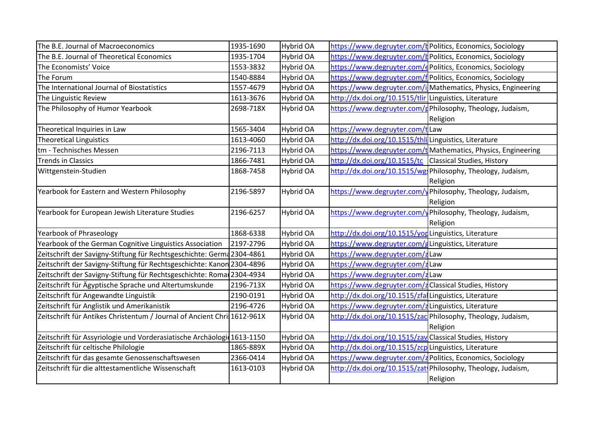| The B.E. Journal of Macroeconomics                                      | 1935-1690 | <b>Hybrid OA</b> |                                                          | https://www.degruyter.com/k Politics, Economics, Sociology    |
|-------------------------------------------------------------------------|-----------|------------------|----------------------------------------------------------|---------------------------------------------------------------|
| The B.E. Journal of Theoretical Economics                               | 1935-1704 | <b>Hybrid OA</b> |                                                          | https://www.degruyter.com/k Politics, Economics, Sociology    |
| The Economists' Voice                                                   | 1553-3832 | <b>Hybrid OA</b> |                                                          | https://www.degruyter.com/dPolitics, Economics, Sociology     |
| The Forum                                                               | 1540-8884 | <b>Hybrid OA</b> |                                                          | https://www.degruyter.com/f Politics, Economics, Sociology    |
| The International Journal of Biostatistics                              | 1557-4679 | <b>Hybrid OA</b> |                                                          | https://www.degruyter.com/i Mathematics, Physics, Engineering |
| The Linguistic Review                                                   | 1613-3676 | <b>Hybrid OA</b> | http://dx.doi.org/10.1515/tlir Linguistics, Literature   |                                                               |
| The Philosophy of Humor Yearbook                                        | 2698-718X | <b>Hybrid OA</b> |                                                          | https://www.degruyter.com/gPhilosophy, Theology, Judaism,     |
|                                                                         |           |                  |                                                          | Religion                                                      |
| Theoretical Inquiries in Law                                            | 1565-3404 | <b>Hybrid OA</b> | https://www.degruyter.com/tLaw                           |                                                               |
| <b>Theoretical Linguistics</b>                                          | 1613-4060 | <b>Hybrid OA</b> | http://dx.doi.org/10.1515/thli Linguistics, Literature   |                                                               |
| tm - Technisches Messen                                                 | 2196-7113 | <b>Hybrid OA</b> |                                                          | https://www.degruyter.com/t Mathematics, Physics, Engineering |
| <b>Trends in Classics</b>                                               | 1866-7481 | <b>Hybrid OA</b> | http://dx.doi.org/10.1515/tc Classical Studies, History  |                                                               |
| Wittgenstein-Studien                                                    | 1868-7458 | <b>Hybrid OA</b> |                                                          | http://dx.doi.org/10.1515/wg. Philosophy, Theology, Judaism,  |
|                                                                         |           |                  |                                                          | Religion                                                      |
| Yearbook for Eastern and Western Philosophy                             | 2196-5897 | Hybrid OA        |                                                          | https://www.degruyter.com/y Philosophy, Theology, Judaism,    |
|                                                                         |           |                  |                                                          | Religion                                                      |
| Yearbook for European Jewish Literature Studies                         | 2196-6257 | <b>Hybrid OA</b> |                                                          | https://www.degruyter.com/yPhilosophy, Theology, Judaism,     |
|                                                                         |           |                  |                                                          | Religion                                                      |
| Yearbook of Phraseology                                                 | 1868-6338 | <b>Hybrid OA</b> | http://dx.doi.org/10.1515/yorulinguistics, Literature    |                                                               |
| Yearbook of the German Cognitive Linguistics Association                | 2197-2796 | <b>Hybrid OA</b> | https://www.degruyter.com/g Linguistics, Literature      |                                                               |
| Zeitschrift der Savigny-Stiftung für Rechtsgeschichte: Germa 2304-4861  |           | <b>Hybrid OA</b> | https://www.degruyter.com/zLaw                           |                                                               |
| Zeitschrift der Savigny-Stiftung für Rechtsgeschichte: Kanon 2304-4896  |           | <b>Hybrid OA</b> | https://www.degruyter.com/zLaw                           |                                                               |
| Zeitschrift der Savigny-Stiftung für Rechtsgeschichte: Romar 2304-4934  |           | <b>Hybrid OA</b> | https://www.degruyter.com/zLaw                           |                                                               |
| Zeitschrift für Ägyptische Sprache und Altertumskunde                   | 2196-713X | <b>Hybrid OA</b> | https://www.degruyter.com/zClassical Studies, History    |                                                               |
| Zeitschrift für Angewandte Linguistik                                   | 2190-0191 | <b>Hybrid OA</b> | http://dx.doi.org/10.1515/zfa Linguistics, Literature    |                                                               |
| Zeitschrift für Anglistik und Amerikanistik                             | 2196-4726 | <b>Hybrid OA</b> | https://www.degruyter.com/zLinguistics, Literature       |                                                               |
| Zeitschrift für Antikes Christentum / Journal of Ancient Chris1612-961X |           | <b>Hybrid OA</b> |                                                          | http://dx.doi.org/10.1515/zac Philosophy, Theology, Judaism,  |
|                                                                         |           |                  |                                                          | Religion                                                      |
| Zeitschrift für Assyriologie und Vorderasiatische Archäologi 1613-1150  |           | <b>Hybrid OA</b> | http://dx.doi.org/10.1515/zav Classical Studies, History |                                                               |
| Zeitschrift für celtische Philologie                                    | 1865-889X | <b>Hybrid OA</b> | http://dx.doi.org/10.1515/zcp Linguistics, Literature    |                                                               |
| Zeitschrift für das gesamte Genossenschaftswesen                        | 2366-0414 | <b>Hybrid OA</b> |                                                          | https://www.degruyter.com/z Politics, Economics, Sociology    |
| Zeitschrift für die alttestamentliche Wissenschaft                      | 1613-0103 | <b>Hybrid OA</b> |                                                          | http://dx.doi.org/10.1515/zat Philosophy, Theology, Judaism,  |
|                                                                         |           |                  |                                                          | Religion                                                      |